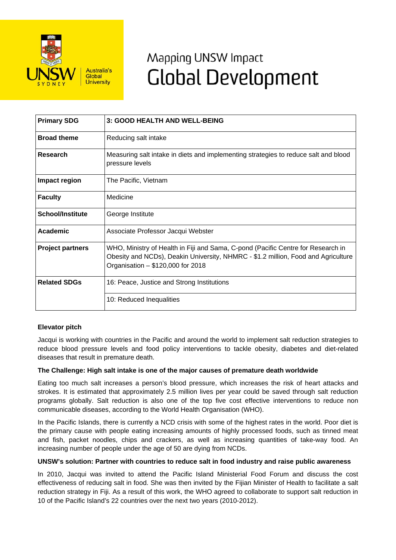

# Mapping UNSW Impact **Global Development**

| <b>Primary SDG</b>      | 3: GOOD HEALTH AND WELL-BEING                                                                                                                                                                              |
|-------------------------|------------------------------------------------------------------------------------------------------------------------------------------------------------------------------------------------------------|
| <b>Broad theme</b>      | Reducing salt intake                                                                                                                                                                                       |
| Research                | Measuring salt intake in diets and implementing strategies to reduce salt and blood<br>pressure levels                                                                                                     |
| Impact region           | The Pacific, Vietnam                                                                                                                                                                                       |
| <b>Faculty</b>          | Medicine                                                                                                                                                                                                   |
| <b>School/Institute</b> | George Institute                                                                                                                                                                                           |
| <b>Academic</b>         | Associate Professor Jacqui Webster                                                                                                                                                                         |
| <b>Project partners</b> | WHO, Ministry of Health in Fiji and Sama, C-pond (Pacific Centre for Research in<br>Obesity and NCDs), Deakin University, NHMRC - \$1.2 million, Food and Agriculture<br>Organisation - \$120,000 for 2018 |
| <b>Related SDGs</b>     | 16: Peace, Justice and Strong Institutions                                                                                                                                                                 |
|                         | 10: Reduced Inequalities                                                                                                                                                                                   |

## **Elevator pitch**

Jacqui is working with countries in the Pacific and around the world to implement salt reduction strategies to reduce blood pressure levels and food policy interventions to tackle obesity, diabetes and diet-related diseases that result in premature death.

### **The Challenge: High salt intake is one of the major causes of premature death worldwide**

Eating too much salt increases a person's blood pressure, which increases the risk of heart attacks and strokes. It is estimated that approximately 2.5 million lives per year could be saved through salt reduction programs globally. Salt reduction is also one of the top five cost effective interventions to reduce non communicable diseases, according to the World Health Organisation (WHO).

In the Pacific Islands, there is currently a NCD crisis with some of the highest rates in the world. Poor diet is the primary cause with people eating increasing amounts of highly processed foods, such as tinned meat and fish, packet noodles, chips and crackers, as well as increasing quantities of take-way food. An increasing number of people under the age of 50 are dying from NCDs.

### **UNSW's solution: Partner with countries to reduce salt in food industry and raise public awareness**

In 2010, Jacqui was invited to attend the Pacific Island Ministerial Food Forum and discuss the cost effectiveness of reducing salt in food. She was then invited by the Fijian Minister of Health to facilitate a salt reduction strategy in Fiji. As a result of this work, the WHO agreed to collaborate to support salt reduction in 10 of the Pacific Island's 22 countries over the next two years (2010-2012).